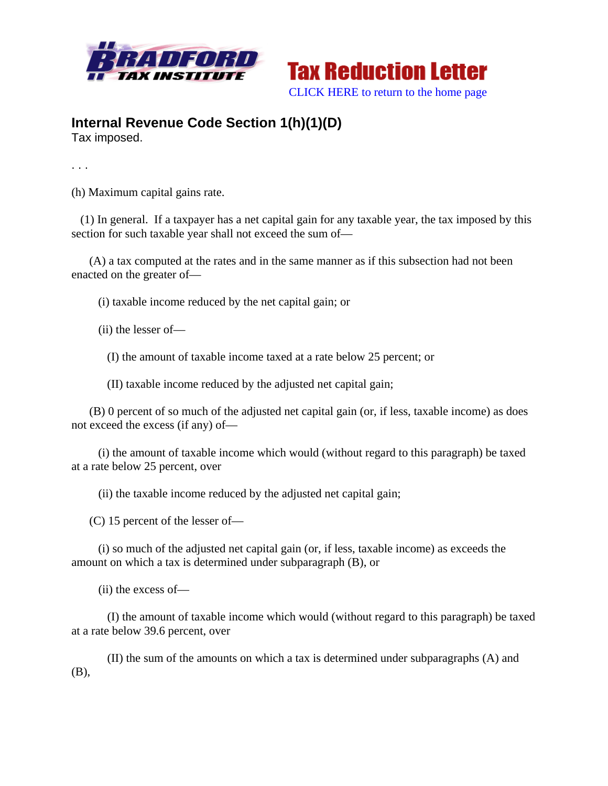



## **Internal Revenue Code Section 1(h)(1)(D)**

Tax imposed.

. . .

(h) Maximum capital gains rate.

 (1) In general. If a taxpayer has a net capital gain for any taxable year, the tax imposed by this section for such taxable year shall not exceed the sum of—

 (A) a tax computed at the rates and in the same manner as if this subsection had not been enacted on the greater of—

(i) taxable income reduced by the net capital gain; or

(ii) the lesser of—

(I) the amount of taxable income taxed at a rate below 25 percent; or

(II) taxable income reduced by the adjusted net capital gain;

 (B) 0 percent of so much of the adjusted net capital gain (or, if less, taxable income) as does not exceed the excess (if any) of—

 (i) the amount of taxable income which would (without regard to this paragraph) be taxed at a rate below 25 percent, over

(ii) the taxable income reduced by the adjusted net capital gain;

(C) 15 percent of the lesser of—

 (i) so much of the adjusted net capital gain (or, if less, taxable income) as exceeds the amount on which a tax is determined under subparagraph (B), or

(ii) the excess of—

 (I) the amount of taxable income which would (without regard to this paragraph) be taxed at a rate below 39.6 percent, over

 (II) the sum of the amounts on which a tax is determined under subparagraphs (A) and (B),